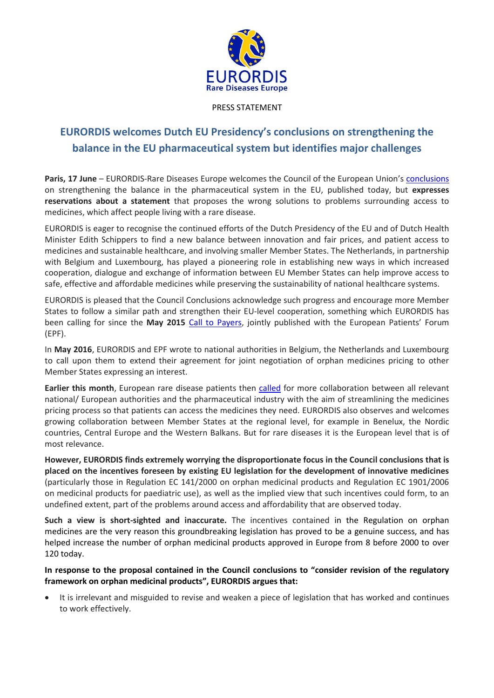

## PRESS STATEMENT

# **EURORDIS welcomes Dutch EU Presidency's conclusions on strengthening the balance in the EU pharmaceutical system but identifies major challenges**

**Paris, 17 June** – EURORDIS-Rare Diseases Europe welcomes the Council of the European Union's [conclusions](http://www.consilium.europa.eu/en/press/press-releases/2016/06/17-epsco-conclusions-balance-pharmaceutical-system/) on strengthening the balance in the pharmaceutical system in the EU, published today, but **expresses reservations about a statement** that proposes the wrong solutions to problems surrounding access to medicines, which affect people living with a rare disease.

EURORDIS is eager to recognise the continued efforts of the Dutch Presidency of the EU and of Dutch Health Minister Edith Schippers to find a new balance between innovation and fair prices, and patient access to medicines and sustainable healthcare, and involving smaller Member States. The Netherlands, in partnership with Belgium and Luxembourg, has played a pioneering role in establishing new ways in which increased cooperation, dialogue and exchange of information between EU Member States can help improve access to safe, effective and affordable medicines while preserving the sustainability of national healthcare systems.

EURORDIS is pleased that the Council Conclusions acknowledge such progress and encourage more Member States to follow a similar path and strengthen their EU-level cooperation, something which EURORDIS has been calling for since the **May 2015** [Call to Payers,](http://www.eurordis.org/sites/default/files/call-on-payers.pdf) jointly published with the European Patients' Forum (EPF).

In **May 2016**, EURORDIS and EPF wrote to national authorities in Belgium, the Netherlands and Luxembourg to call upon them to extend their agreement for joint negotiation of orphan medicines pricing to other Member States expressing an interest.

**Earlier this month**, European rare disease patients then [called](http://www.eurordis.org/sites/default/files/eurordis-pricing-release-final.pdf) for more collaboration between all relevant national/ European authorities and the pharmaceutical industry with the aim of streamlining the medicines pricing process so that patients can access the medicines they need. EURORDIS also observes and welcomes growing collaboration between Member States at the regional level, for example in Benelux, the Nordic countries, Central Europe and the Western Balkans. But for rare diseases it is the European level that is of most relevance.

**However, EURORDIS finds extremely worrying the disproportionate focus in the Council conclusions that is placed on the incentives foreseen by existing EU legislation for the development of innovative medicines** (particularly those in Regulation EC 141/2000 on orphan medicinal products and Regulation EC 1901/2006 on medicinal products for paediatric use), as well as the implied view that such incentives could form, to an undefined extent, part of the problems around access and affordability that are observed today.

**Such a view is short-sighted and inaccurate.** The incentives contained in the Regulation on orphan medicines are the very reason this groundbreaking legislation has proved to be a genuine success, and has helped increase the number of orphan medicinal products approved in Europe from 8 before 2000 to over 120 today.

# **In response to the proposal contained in the Council conclusions to "consider revision of the regulatory framework on orphan medicinal products", EURORDIS argues that:**

 It is irrelevant and misguided to revise and weaken a piece of legislation that has worked and continues to work effectively.